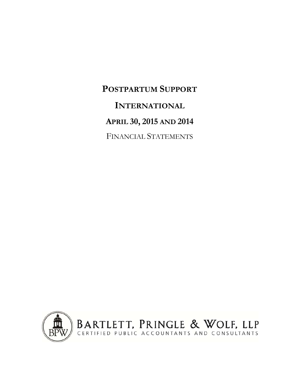**POSTPARTUM SUPPORT INTERNATIONAL APRIL 30, 2015 AND 2014** FINANCIAL STATEMENTS

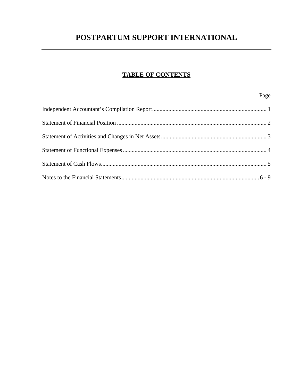# **TABLE OF CONTENTS**

# Page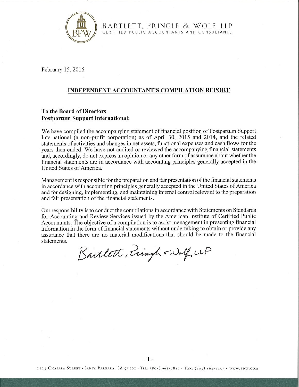

BARTLETT, PRINGLE & WOLF, LLP<br>CERTIFIED PUBLIC ACCOUNTANTS AND CONSULTANTS

February 15,2016

# INDEPENDENT ACCOUNTANT'S COMPILATION REPORT

# To the Board of Directors Postpartum Support International:

We have compiled the accompanying statement of financial position of Postpartum Support International (a non-profit corporation) as of April 30, 2015 and 2014, and the related statements of activities and changes in net assets, functional expenses and cash flows for the years then ended. We have not audited or reviewed the accompanying financial statements and, accordingly, do not express an opinion or any other form of assurance about whether the financial statements are in accordance with accounting principles generally accepted in the United States of America.

Management is responsible for the preparation and fair presentation of the financial statements in accordance with accounting principles generally accepted in the United States of America and for designing, implementing, and maintaining internal control relevant to the preparation and fair presentation of the financial statements.

Our responsibility is to conduct the compilations in accordance with Statements on Standards for Accounting and Review Services issued by the American Institute of Certified Public Accountants. The objective of a compilation is to assist management in presenting financial information in the form of financial statements without undertaking to obtain or provide any assurance that there are no material modifications that should be made to the financial statements.

Bartlett, Fringh rWolf, LG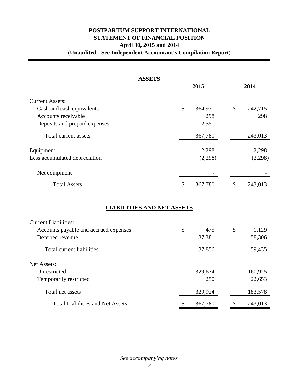# **POSTPARTUM SUPPORT INTERNATIONAL STATEMENT OF FINANCIAL POSITION April 30, 2015 and 2014 (Unaudited - See Independent Accountant's Compilation Report)**

| <b>ASSETS</b>                           |               |    |         |
|-----------------------------------------|---------------|----|---------|
|                                         | 2015          |    | 2014    |
| <b>Current Assets:</b>                  |               |    |         |
| Cash and cash equivalents               | \$<br>364,931 | \$ | 242,715 |
| Accounts receivable                     | 298           |    | 298     |
| Deposits and prepaid expenses           | 2,551         |    |         |
| Total current assets                    | 367,780       |    | 243,013 |
| Equipment                               | 2,298         |    | 2,298   |
| Less accumulated depreciation           | (2,298)       |    | (2,298) |
| Net equipment                           |               |    |         |
| <b>Total Assets</b>                     | \$<br>367,780 | \$ | 243,013 |
| <b>LIABILITIES AND NET ASSETS</b>       |               |    |         |
| <b>Current Liabilities:</b>             |               |    |         |
| Accounts payable and accrued expenses   | \$<br>475     | \$ | 1,129   |
| Deferred revenue                        | 37,381        |    | 58,306  |
| <b>Total current liabilities</b>        | 37,856        |    | 59,435  |
| Net Assets:                             |               |    |         |
| Unrestricted                            | 329,674       |    | 160,925 |
| Temporarily restricted                  | 250           |    | 22,653  |
| Total net assets                        | 329,924       |    | 183,578 |
| <b>Total Liabilities and Net Assets</b> | \$<br>367,780 | \$ | 243,013 |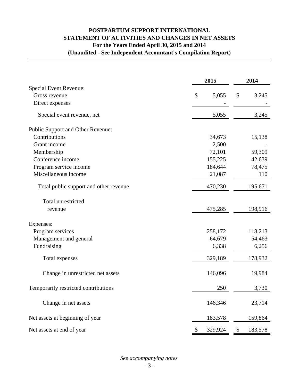# **POSTPARTUM SUPPORT INTERNATIONAL STATEMENT OF ACTIVITIES AND CHANGES IN NET ASSETS For the Years Ended April 30, 2015 and 2014 (Unaudited - See Independent Accountant's Compilation Report)**

|                                        | 2015          |    | 2014    |  |
|----------------------------------------|---------------|----|---------|--|
| <b>Special Event Revenue:</b>          |               |    |         |  |
| Gross revenue                          | \$<br>5,055   | \$ | 3,245   |  |
| Direct expenses                        |               |    |         |  |
| Special event revenue, net             | 5,055         |    | 3,245   |  |
| Public Support and Other Revenue:      |               |    |         |  |
| Contributions                          | 34,673        |    | 15,138  |  |
| Grant income                           | 2,500         |    |         |  |
| Membership                             | 72,101        |    | 59,309  |  |
| Conference income                      | 155,225       |    | 42,639  |  |
| Program service income                 | 184,644       |    | 78,475  |  |
| Miscellaneous income                   | 21,087        |    | 110     |  |
| Total public support and other revenue | 470,230       |    | 195,671 |  |
| Total unrestricted                     |               |    |         |  |
| revenue                                | 475,285       |    | 198,916 |  |
| Expenses:                              |               |    |         |  |
| Program services                       | 258,172       |    | 118,213 |  |
| Management and general                 | 64,679        |    | 54,463  |  |
| Fundraising                            | 6,338         |    | 6,256   |  |
| Total expenses                         | 329,189       |    | 178,932 |  |
| Change in unrestricted net assets      | 146,096       |    | 19,984  |  |
| Temporarily restricted contributions   | 250           |    | 3,730   |  |
| Change in net assets                   | 146,346       |    | 23,714  |  |
| Net assets at beginning of year        | 183,578       |    | 159,864 |  |
| Net assets at end of year              | \$<br>329,924 | \$ | 183,578 |  |

*See accompanying notes*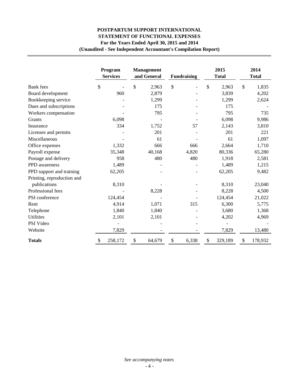# **POSTPARTUM SUPPORT INTERNATIONAL STATEMENT OF FUNCTIONAL EXPENSES For the Years Ended April 30, 2015 and 2014 (Unaudited - See Independent Accountant's Compilation Report)**

|                            | Program<br><b>Services</b> | <b>Management</b><br>and General | <b>Fundraising</b> | 2015<br><b>Total</b> | 2014<br><b>Total</b>     |
|----------------------------|----------------------------|----------------------------------|--------------------|----------------------|--------------------------|
| <b>Bank</b> fees           | \$                         | \$<br>2,963                      | \$                 | \$<br>2,963          | \$<br>1,835              |
| Board development          | 960                        | 2,879                            |                    | 3,839                | 4,202                    |
| Bookkeeping service        |                            | 1,299                            |                    | 1,299                | 2,624                    |
| Dues and subscriptions     |                            | 175                              |                    | 175                  |                          |
| Workers compensation       |                            | 795                              |                    | 795                  | 735                      |
| Grants                     | 6,098                      |                                  |                    | 6,098                | 9,986                    |
| Insurance                  | 334                        | 1,752                            | 57                 | 2,143                | 3,810                    |
| Licenses and permits       |                            | 201                              |                    | 201                  | 221                      |
| Miscellaneous              |                            | 61                               |                    | 61                   | 1,097                    |
| Office expenses            | 1,332                      | 666                              | 666                | 2,664                | 1,710                    |
| Payroll expense            | 35,348                     | 40,168                           | 4,820              | 80,336               | 65,280                   |
| Postage and delivery       | 958                        | 480                              | 480                | 1,918                | 2,581                    |
| <b>PPD</b> awareness       | 1,489                      |                                  |                    | 1,489                | 1,215                    |
| PPD support and training   | 62,205                     |                                  |                    | 62,205               | 9,482                    |
| Printing, reproduction and |                            |                                  |                    |                      |                          |
| publications               | 8,310                      |                                  |                    | 8,310                | 23,040                   |
| Professional fees          |                            | 8,228                            |                    | 8,228                | 4,500                    |
| PSI conference             | 124,454                    |                                  |                    | 124,454              | 21,022                   |
| Rent                       | 4,914                      | 1,071                            | 315                | 6,300                | 5,775                    |
| Telephone                  | 1,840                      | 1,840                            |                    | 3,680                | 1,368                    |
| <b>Utilities</b>           | 2,101                      | 2,101                            |                    | 4,202                | 4,969                    |
| PSI Video                  |                            |                                  |                    |                      |                          |
| Website                    | 7,829                      |                                  |                    | 7,829                | 13,480                   |
| <b>Totals</b>              | 258,172                    | \$<br>64,679                     | \$<br>6,338        | 329,189<br>\$        | $\mathcal{S}$<br>178,932 |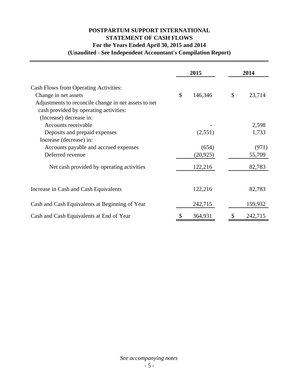# **POSTPARTUM SUPPORT INTERNATIONAL STATEMENT OF CASH FLOWS For the Years Ended April 30, 2015 and 2014 (Unaudited - See Independent Accountant's Compilation Report)**

|                                                      | 2015 |           | 2014         |  |
|------------------------------------------------------|------|-----------|--------------|--|
| Cash Flows from Operating Activities:                |      |           |              |  |
| Change in net assets                                 | \$   | 146,346   | \$<br>23,714 |  |
| Adjustments to reconcile change in net assets to net |      |           |              |  |
| cash provided by operating activities:               |      |           |              |  |
| (Increase) decrease in:                              |      |           |              |  |
| Accounts receivable                                  |      |           | 2,598        |  |
| Deposits and prepaid expenses                        |      | (2,551)   | 1,733        |  |
| Increase (decrease) in:                              |      |           |              |  |
| Accounts payable and accrued expenses                |      | (654)     | (971)        |  |
| Deferred revenue                                     |      | (20, 925) | 55,709       |  |
| Net cash provided by operating activities            |      | 122,216   | 82,783       |  |
|                                                      |      |           |              |  |
| Increase in Cash and Cash Equivalents                |      | 122,216   | 82,783       |  |
| Cash and Cash Equivalents at Beginning of Year       |      | 242,715   | 159,932      |  |
| Cash and Cash Equivalents at End of Year             |      | 364,931   | 242,715      |  |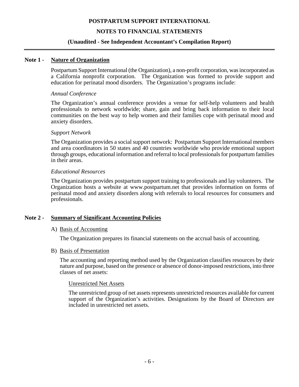# **NOTES TO FINANCIAL STATEMENTS**

#### **(Unaudited - See Independent Accountant's Compilation Report)**

#### **Note 1 - Nature of Organization**

Postpartum Support International (the Organization), a non-profit corporation, was incorporated as a California nonprofit corporation. The Organization was formed to provide support and education for perinatal mood disorders. The Organization's programs include:

#### *Annual Conference*

The Organization's annual conference provides a venue for self-help volunteers and health professionals to network worldwide; share, gain and bring back information to their local communities on the best way to help women and their families cope with perinatal mood and anxiety disorders.

#### *Support Network*

The Organization provides a social support network: Postpartum Support International members and area coordinators in 50 states and 40 countries worldwide who provide emotional support through groups, educational information and referral to local professionals for postpartum families in their areas.

#### *Educational Resources*

The Organization provides postpartum support training to professionals and lay volunteers. The Organization hosts a website at www.postpartum.net that provides information on forms of perinatal mood and anxiety disorders along with referrals to local resources for consumers and professionals.

# **Note 2 - Summary of Significant Accounting Policies**

#### A) Basis of Accounting

The Organization prepares its financial statements on the accrual basis of accounting.

#### B) Basis of Presentation

The accounting and reporting method used by the Organization classifies resources by their nature and purpose, based on the presence or absence of donor-imposed restrictions, into three classes of net assets:

#### Unrestricted Net Assets

The unrestricted group of net assets represents unrestricted resources available for current support of the Organization's activities. Designations by the Board of Directors are included in unrestricted net assets.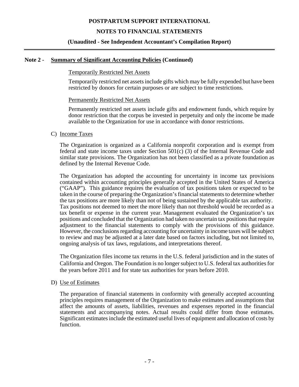# **NOTES TO FINANCIAL STATEMENTS**

# **(Unaudited - See Independent Accountant's Compilation Report)**

#### **Note 2 - Summary of Significant Accounting Policies (Continued)**

#### Temporarily Restricted Net Assets

Temporarily restricted net assets include gifts which may be fully expended but have been restricted by donors for certain purposes or are subject to time restrictions.

#### Permanently Restricted Net Assets

Permanently restricted net assets include gifts and endowment funds, which require by donor restriction that the corpus be invested in perpetuity and only the income be made available to the Organization for use in accordance with donor restrictions.

#### C) Income Taxes

The Organization is organized as a California nonprofit corporation and is exempt from federal and state income taxes under Section 501(c) (3) of the Internal Revenue Code and similar state provisions. The Organization has not been classified as a private foundation as defined by the Internal Revenue Code.

The Organization has adopted the accounting for uncertainty in income tax provisions contained within accounting principles generally accepted in the United States of America ("GAAP"). This guidance requires the evaluation of tax positions taken or expected to be taken in the course of preparing the Organization's financial statements to determine whether the tax positions are more likely than not of being sustained by the applicable tax authority. Tax positions not deemed to meet the more likely than not threshold would be recorded as a tax benefit or expense in the current year. Management evaluated the Organization's tax positions and concluded that the Organization had taken no uncertain tax positions that require adjustment to the financial statements to comply with the provisions of this guidance. However, the conclusions regarding accounting for uncertainty in income taxes will be subject to review and may be adjusted at a later date based on factors including, but not limited to, ongoing analysis of tax laws, regulations, and interpretations thereof.

The Organization files income tax returns in the U.S. federal jurisdiction and in the states of California and Oregon. The Foundation is no longer subject to U.S. federal tax authorities for the years before 2011 and for state tax authorities for years before 2010.

#### D) Use of Estimates

 The preparation of financial statements in conformity with generally accepted accounting principles requires management of the Organization to make estimates and assumptions that affect the amounts of assets, liabilities, revenues and expenses reported in the financial statements and accompanying notes. Actual results could differ from those estimates. Significant estimates include the estimated useful lives of equipment and allocation of costs by function.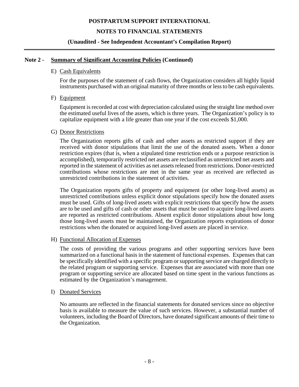# **NOTES TO FINANCIAL STATEMENTS**

# **(Unaudited - See Independent Accountant's Compilation Report)**

#### **Note 2 - Summary of Significant Accounting Policies (Continued)**

#### E) Cash Equivalents

For the purposes of the statement of cash flows, the Organization considers all highly liquid instruments purchased with an original maturity of three months or less to be cash equivalents.

#### F) Equipment

Equipment is recorded at cost with depreciation calculated using the straight line method over the estimated useful lives of the assets, which is three years. The Organization's policy is to capitalize equipment with a life greater than one year if the cost exceeds \$1,000.

#### G) Donor Restrictions

The Organization reports gifts of cash and other assets as restricted support if they are received with donor stipulations that limit the use of the donated assets. When a donor restriction expires (that is, when a stipulated time restriction ends or a purpose restriction is accomplished), temporarily restricted net assets are reclassified as unrestricted net assets and reported in the statement of activities as net assets released from restrictions. Donor-restricted contributions whose restrictions are met in the same year as received are reflected as unrestricted contributions in the statement of activities.

The Organization reports gifts of property and equipment (or other long-lived assets) as unrestricted contributions unless explicit donor stipulations specify how the donated assets must be used. Gifts of long-lived assets with explicit restrictions that specify how the assets are to be used and gifts of cash or other assets that must be used to acquire long-lived assets are reported as restricted contributions. Absent explicit donor stipulations about how long those long-lived assets must be maintained, the Organization reports expirations of donor restrictions when the donated or acquired long-lived assets are placed in service.

# H) Functional Allocation of Expenses

The costs of providing the various programs and other supporting services have been summarized on a functional basis in the statement of functional expenses. Expenses that can be specifically identified with a specific program or supporting service are charged directly to the related program or supporting service. Expenses that are associated with more than one program or supporting service are allocated based on time spent in the various functions as estimated by the Organization's management.

#### I) Donated Services

No amounts are reflected in the financial statements for donated services since no objective basis is available to measure the value of such services. However, a substantial number of volunteers, including the Board of Directors, have donated significant amounts of their time to the Organization.